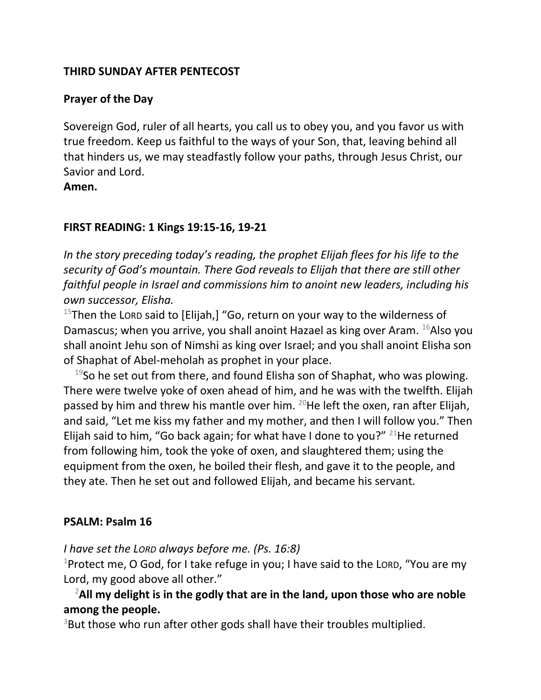#### **THIRD SUNDAY AFTER PENTECOST**

## **Prayer of the Day**

Sovereign God, ruler of all hearts, you call us to obey you, and you favor us with true freedom. Keep us faithful to the ways of your Son, that, leaving behind all that hinders us, we may steadfastly follow your paths, through Jesus Christ, our Savior and Lord.

**Amen.**

#### **FIRST READING: 1 Kings 19:15-16, 19-21**

*In the story preceding today's reading, the prophet Elijah flees for his life to the security of God's mountain. There God reveals to Elijah that there are still other faithful people in Israel and commissions him to anoint new leaders, including his own successor, Elisha.*

<sup>15</sup>Then the LORD said to [Elijah,] "Go, return on your way to the wilderness of Damascus; when you arrive, you shall anoint Hazael as king over Aram. <sup>16</sup>Also you shall anoint Jehu son of Nimshi as king over Israel; and you shall anoint Elisha son of Shaphat of Abel-meholah as prophet in your place.

 $19$ So he set out from there, and found Elisha son of Shaphat, who was plowing. There were twelve yoke of oxen ahead of him, and he was with the twelfth. Elijah passed by him and threw his mantle over him.  $20$ He left the oxen, ran after Elijah, and said, "Let me kiss my father and my mother, and then I will follow you." Then Elijah said to him, "Go back again; for what have I done to you?"  $21$ He returned from following him, took the yoke of oxen, and slaughtered them; using the equipment from the oxen, he boiled their flesh, and gave it to the people, and they ate. Then he set out and followed Elijah, and became his servant.

## **PSALM: Psalm 16**

## *I have set the LORD always before me. (Ps. 16:8)*

<sup>1</sup>Protect me, O God, for I take refuge in you; I have said to the LORD, "You are my Lord, my good above all other."

# <sup>2</sup>**All my delight is in the godly that are in the land, upon those who are noble among the people.**

 $3$ But those who run after other gods shall have their troubles multiplied.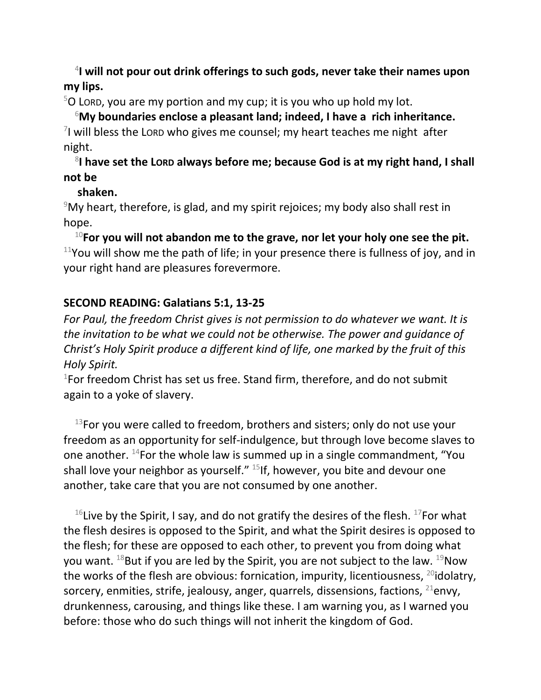4 **I will not pour out drink offerings to such gods, never take their names upon my lips.**

 $5$ O LORD, you are my portion and my cup; it is you who up hold my lot.

<sup>6</sup>**My boundaries enclose a pleasant land; indeed, I have a rich inheritance.**  $\frac{7}{1}$  will bless the Lord who gives me counsel; my heart teaches me night after night.

8 **I have set the LORD always before me; because God is at my right hand, I shall not be** 

## **shaken.**

 $9$ My heart, therefore, is glad, and my spirit rejoices; my body also shall rest in hope.

<sup>10</sup>**For you will not abandon me to the grave, nor let your holy one see the pit.**  $11$ You will show me the path of life; in your presence there is fullness of joy, and in your right hand are pleasures forevermore.

## **SECOND READING: Galatians 5:1, 13-25**

*For Paul, the freedom Christ gives is not permission to do whatever we want. It is the invitation to be what we could not be otherwise. The power and guidance of Christ's Holy Spirit produce a different kind of life, one marked by the fruit of this Holy Spirit.*

1 For freedom Christ has set us free. Stand firm, therefore, and do not submit again to a yoke of slavery.

 $13$ For you were called to freedom, brothers and sisters; only do not use your freedom as an opportunity for self-indulgence, but through love become slaves to one another.  $^{14}$  For the whole law is summed up in a single commandment, "You shall love your neighbor as yourself."  $15$ If, however, you bite and devour one another, take care that you are not consumed by one another.

<sup>16</sup>Live by the Spirit, I say, and do not gratify the desires of the flesh. <sup>17</sup>For what the flesh desires is opposed to the Spirit, and what the Spirit desires is opposed to the flesh; for these are opposed to each other, to prevent you from doing what you want.  $^{18}$ But if you are led by the Spirit, you are not subject to the law.  $^{19}$ Now the works of the flesh are obvious: fornication, impurity, licentiousness,  $^{20}$ idolatry, sorcery, enmities, strife, jealousy, anger, quarrels, dissensions, factions,  $^{21}$ envy, drunkenness, carousing, and things like these. I am warning you, as I warned you before: those who do such things will not inherit the kingdom of God.